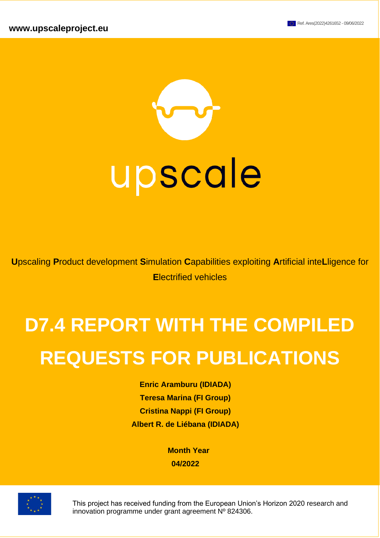

**U**pscaling **P**roduct development **S**imulation **C**apabilities exploiting **A**rtificial inte**L**ligence for **E**lectrified vehicles

# **D7.4 REPORT WITH THE COMPILED REQUESTS FOR PUBLICATIONS**

**Enric Aramburu (IDIADA) Teresa Marina (FI Group) Cristina Nappi (FI Group) Albert R. de Liébana (IDIADA)**

> **Month Year 04/2022**



This project has received funding from the European Union's Horizon 2020 research and innovation programme under grant agreement Nº 824306.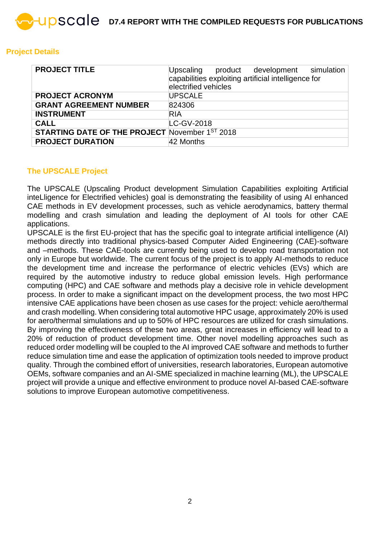## **Project Details**

| <b>PROJECT TITLE</b>                                  | Upscaling product development simulation<br>capabilities exploiting artificial intelligence for<br>electrified vehicles |
|-------------------------------------------------------|-------------------------------------------------------------------------------------------------------------------------|
| <b>PROJECT ACRONYM</b>                                | <b>UPSCALE</b>                                                                                                          |
| <b>GRANT AGREEMENT NUMBER</b>                         | 824306                                                                                                                  |
| <b>INSTRUMENT</b>                                     | <b>RIA</b>                                                                                                              |
| <b>CALL</b>                                           | LC-GV-2018                                                                                                              |
| <b>STARTING DATE OF THE PROJECT November 1ST 2018</b> |                                                                                                                         |
| <b>PROJECT DURATION</b>                               | 42 Months                                                                                                               |

#### **The UPSCALE Project**

The UPSCALE (Upscaling Product development Simulation Capabilities exploiting Artificial inteLligence for Electrified vehicles) goal is demonstrating the feasibility of using AI enhanced CAE methods in EV development processes, such as vehicle aerodynamics, battery thermal modelling and crash simulation and leading the deployment of AI tools for other CAE applications.

UPSCALE is the first EU-project that has the specific goal to integrate artificial intelligence (AI) methods directly into traditional physics-based Computer Aided Engineering (CAE)-software and –methods. These CAE-tools are currently being used to develop road transportation not only in Europe but worldwide. The current focus of the project is to apply AI-methods to reduce the development time and increase the performance of electric vehicles (EVs) which are required by the automotive industry to reduce global emission levels. High performance computing (HPC) and CAE software and methods play a decisive role in vehicle development process. In order to make a significant impact on the development process, the two most HPC intensive CAE applications have been chosen as use cases for the project: vehicle aero/thermal and crash modelling. When considering total automotive HPC usage, approximately 20% is used for aero/thermal simulations and up to 50% of HPC resources are utilized for crash simulations. By improving the effectiveness of these two areas, great increases in efficiency will lead to a 20% of reduction of product development time. Other novel modelling approaches such as reduced order modelling will be coupled to the AI improved CAE software and methods to further reduce simulation time and ease the application of optimization tools needed to improve product quality. Through the combined effort of universities, research laboratories, European automotive OEMs, software companies and an AI-SME specialized in machine learning (ML), the UPSCALE project will provide a unique and effective environment to produce novel AI-based CAE-software solutions to improve European automotive competitiveness.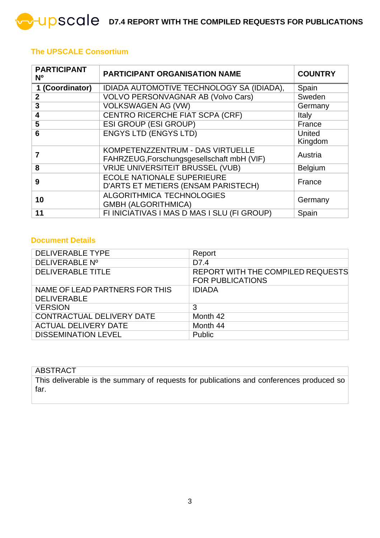## **The UPSCALE Consortium**

| <b>PARTICIPANT</b><br><b>N°</b> | <b>PARTICIPANT ORGANISATION NAME</b>                                           |                   |  |  |
|---------------------------------|--------------------------------------------------------------------------------|-------------------|--|--|
| 1 (Coordinator)                 | IDIADA AUTOMOTIVE TECHNOLOGY SA (IDIADA),                                      | Spain             |  |  |
| $\overline{2}$                  | <b>VOLVO PERSONVAGNAR AB (Volvo Cars)</b>                                      | Sweden            |  |  |
| 3                               | <b>VOLKSWAGEN AG (VW)</b>                                                      | Germany           |  |  |
| 4                               | <b>CENTRO RICERCHE FIAT SCPA (CRF)</b>                                         | Italy             |  |  |
| 5                               | <b>ESI GROUP (ESI GROUP)</b>                                                   | France            |  |  |
| 6                               | <b>ENGYS LTD (ENGYS LTD)</b>                                                   | United<br>Kingdom |  |  |
|                                 | KOMPETENZZENTRUM - DAS VIRTUELLE<br>FAHRZEUG, Forschungsgesellschaft mbH (VIF) | Austria           |  |  |
| 8                               | <b>VRIJE UNIVERSITEIT BRUSSEL (VUB)</b>                                        | <b>Belgium</b>    |  |  |
| 9                               | <b>ECOLE NATIONALE SUPERIEURE</b><br>D'ARTS ET METIERS (ENSAM PARISTECH)       | France            |  |  |
| 10                              | ALGORITHMICA TECHNOLOGIES<br><b>GMBH (ALGORITHMICA)</b>                        | Germany           |  |  |
| 11                              | FI INICIATIVAS I MAS D MAS I SLU (FI GROUP)                                    | Spain             |  |  |

## **Document Details**

| <b>DELIVERABLE TYPE</b>                              | Report                                                              |
|------------------------------------------------------|---------------------------------------------------------------------|
| DELIVERABLE Nº                                       | D7.4                                                                |
| <b>DELIVERABLE TITLE</b>                             | <b>REPORT WITH THE COMPILED REQUESTS</b><br><b>FOR PUBLICATIONS</b> |
| NAME OF LEAD PARTNERS FOR THIS<br><b>DELIVERABLE</b> | <b>IDIADA</b>                                                       |
| <b>VERSION</b>                                       | 3                                                                   |
| <b>CONTRACTUAL DELIVERY DATE</b>                     | Month 42                                                            |
| <b>ACTUAL DELIVERY DATE</b>                          | Month 44                                                            |
| <b>DISSEMINATION LEVEL</b>                           | Public                                                              |

#### **ABSTRACT**

This deliverable is the summary of requests for publications and conferences produced so far.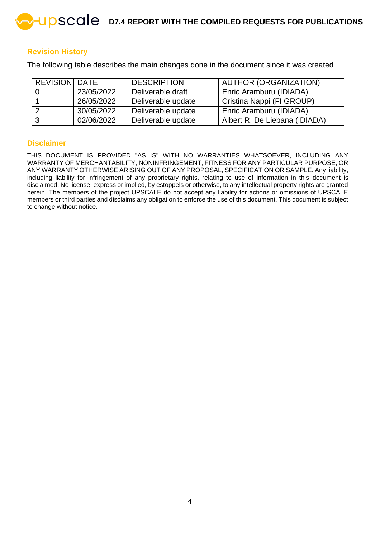#### **Revision History**

The following table describes the main changes done in the document since it was created

| <b>REVISION DATE</b> |            | <b>DESCRIPTION</b> | <b>AUTHOR (ORGANIZATION)</b>   |
|----------------------|------------|--------------------|--------------------------------|
|                      | 23/05/2022 | Deliverable draft  | Enric Aramburu (IDIADA)        |
|                      | 26/05/2022 | Deliverable update | Cristina Nappi (FI GROUP)      |
|                      | 30/05/2022 | Deliverable update | <b>Enric Aramburu (IDIADA)</b> |
| ູ                    | 02/06/2022 | Deliverable update | Albert R. De Liebana (IDIADA)  |

#### **Disclaimer**

THIS DOCUMENT IS PROVIDED "AS IS" WITH NO WARRANTIES WHATSOEVER, INCLUDING ANY WARRANTY OF MERCHANTABILITY, NONINFRINGEMENT, FITNESS FOR ANY PARTICULAR PURPOSE, OR ANY WARRANTY OTHERWISE ARISING OUT OF ANY PROPOSAL, SPECIFICATION OR SAMPLE. Any liability, including liability for infringement of any proprietary rights, relating to use of information in this document is disclaimed. No license, express or implied, by estoppels or otherwise, to any intellectual property rights are granted herein. The members of the project UPSCALE do not accept any liability for actions or omissions of UPSCALE members or third parties and disclaims any obligation to enforce the use of this document. This document is subject to change without notice.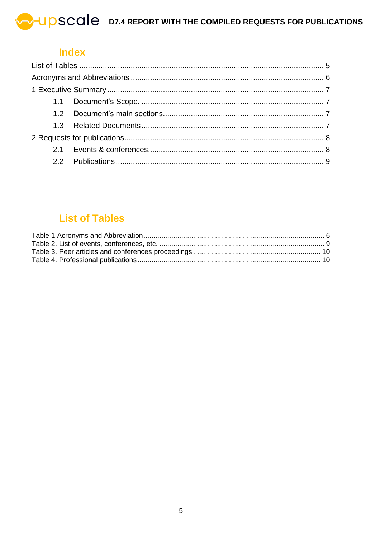**UPSCALE** D7.4 REPORT WITH THE COMPILED REQUESTS FOR PUBLICATIONS

## **Index**

## **List of Tables**

<span id="page-4-0"></span>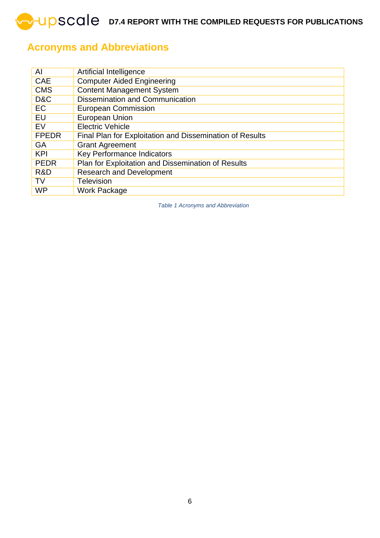**D7.4 REPORT WITH THE COMPILED REQUESTS FOR PUBLICATIONS** 

## <span id="page-5-0"></span>**Acronyms and Abbreviations**

<span id="page-5-1"></span>

| Al           | Artificial Intelligence                                  |
|--------------|----------------------------------------------------------|
| <b>CAE</b>   | <b>Computer Aided Engineering</b>                        |
| <b>CMS</b>   | <b>Content Management System</b>                         |
| D&C          | <b>Dissemination and Communication</b>                   |
| EC           | <b>European Commission</b>                               |
| EU           | European Union                                           |
| EV           | <b>Electric Vehicle</b>                                  |
| <b>FPEDR</b> | Final Plan for Exploitation and Dissemination of Results |
| GA           | <b>Grant Agreement</b>                                   |
| <b>KPI</b>   | <b>Key Performance Indicators</b>                        |
| <b>PEDR</b>  | Plan for Exploitation and Dissemination of Results       |
| R&D          | <b>Research and Development</b>                          |
| <b>TV</b>    | Television                                               |
| <b>WP</b>    | <b>Work Package</b>                                      |

*Table 1 Acronyms and Abbreviation*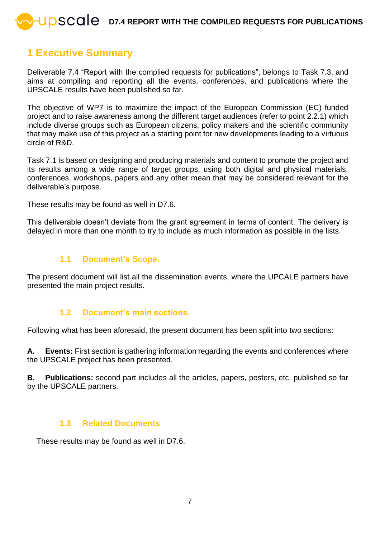## <span id="page-6-0"></span>**1 Executive Summary**

Deliverable 7.4 "Report with the complied requests for publications", belongs to Task 7.3, and aims at compiling and reporting all the events, conferences, and publications where the UPSCALE results have been published so far.

The objective of WP7 is to maximize the impact of the European Commission (EC) funded project and to raise awareness among the different target audiences (refer to point 2.2.1) which include diverse groups such as European citizens, policy makers and the scientific community that may make use of this project as a starting point for new developments leading to a virtuous circle of R&D.

Task 7.1 is based on designing and producing materials and content to promote the project and its results among a wide range of target groups, using both digital and physical materials, conferences, workshops, papers and any other mean that may be considered relevant for the deliverable's purpose.

These results may be found as well in D7.6.

This deliverable doesn't deviate from the grant agreement in terms of content. The delivery is delayed in more than one month to try to include as much information as possible in the lists.

## **1.1 Document's Scope.**

<span id="page-6-1"></span>The present document will list all the dissemination events, where the UPCALE partners have presented the main project results.

## **1.2 Document's main sections.**

<span id="page-6-2"></span>Following what has been aforesaid, the present document has been split into two sections:

**A. Events:** First section is gathering information regarding the events and conferences where the UPSCALE project has been presented.

**B. Publications:** second part includes all the articles, papers, posters, etc. published so far by the UPSCALE partners.

## **1.3 Related Documents**

<span id="page-6-3"></span>These results may be found as well in D7.6.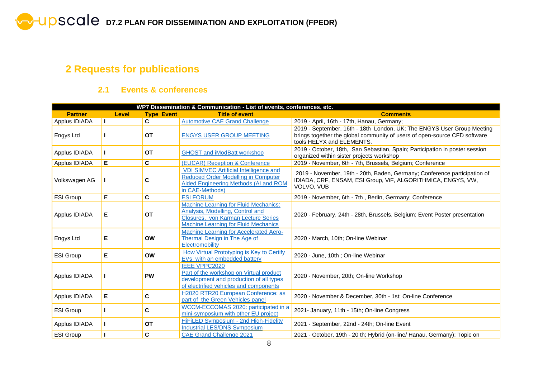## **2 Requests for publications**

## **2.1 Events & conferences**

<span id="page-7-1"></span><span id="page-7-0"></span>

| WP7 Dissemination & Communication - List of events, conferences, etc. |              |                   |                                                                                                                                                                        |                                                                                                                                                                                  |  |  |  |
|-----------------------------------------------------------------------|--------------|-------------------|------------------------------------------------------------------------------------------------------------------------------------------------------------------------|----------------------------------------------------------------------------------------------------------------------------------------------------------------------------------|--|--|--|
| <b>Partner</b>                                                        | <b>Level</b> | <b>Type Event</b> | <b>Title of event</b>                                                                                                                                                  | <b>Comments</b>                                                                                                                                                                  |  |  |  |
| Applus IDIADA                                                         | H.           | C.                | <b>Automotive CAE Grand Challenge</b>                                                                                                                                  | 2019 - April, 16th - 17th, Hanau, Germany;                                                                                                                                       |  |  |  |
| Engys Ltd                                                             |              | <b>OT</b>         | <b>ENGYS USER GROUP MEETING</b>                                                                                                                                        | 2019 - September, 16th - 18th London, UK; The ENGYS User Group Meeting<br>brings together the global community of users of open-source CFD software<br>tools HELYX and ELEMENTS. |  |  |  |
| Applus IDIADA                                                         |              | <b>OT</b>         | <b>GHOST and iModBatt workshop</b>                                                                                                                                     | 2019 - October, 18th, San Sebastian, Spain; Participation in poster session<br>organized within sister projects workshop                                                         |  |  |  |
| Applus IDIADA                                                         | Е            | C                 | (EUCAR) Reception & Conference                                                                                                                                         | 2019 - November, 6th - 7th, Brussels, Belgium; Conference                                                                                                                        |  |  |  |
| Volkswagen AG                                                         |              | С                 | <b>VDI SIMVEC Artificial Intelligence and</b><br><b>Reduced Order Modelling in Computer</b><br>Aided Engineering Methods (AI and ROM<br>in CAE-Methods)                | 2019 - November, 19th - 20th, Baden, Germany; Conference participation of<br>IDIADA, CRF, ENSAM, ESI Group, ViF, ALGORITHMICA, ENGYS, VW,<br>VOLVO, VUB                          |  |  |  |
| <b>ESI Group</b>                                                      | E            | C                 | <b>ESI FORUM</b>                                                                                                                                                       | 2019 - November, 6th - 7th, Berlin, Germany; Conference                                                                                                                          |  |  |  |
| Applus IDIADA                                                         | Е            | <b>OT</b>         | <b>Machine Learning for Fluid Mechanics:</b><br>Analysis, Modelling, Control and<br>Closures, von Karman Lecture Series<br><b>Machine Learning for Fluid Mechanics</b> | 2020 - February, 24th - 28th, Brussels, Belgium; Event Poster presentation                                                                                                       |  |  |  |
| Engys Ltd                                                             | Е            | <b>OW</b>         | Machine Learning for Accelerated Aero-<br><b>Thermal Design in The Age of</b><br>Electromobility                                                                       | 2020 - March, 10th; On-line Webinar                                                                                                                                              |  |  |  |
| <b>ESI Group</b>                                                      | Е            | <b>OW</b>         | How Virtual Prototyping is Key to Certify<br>EVs with an embedded battery                                                                                              | 2020 - June, 10th ; On-line Webinar                                                                                                                                              |  |  |  |
| Applus IDIADA                                                         |              | <b>PW</b>         | <b>IEEE VPPC2020</b><br>Part of the workshop on Virtual product<br>development and production of all types<br>of electrified vehicles and components                   | 2020 - November, 20th; On-line Workshop                                                                                                                                          |  |  |  |
| Applus IDIADA                                                         | Е            | C                 | H2020 RTR20 European Conference: as<br>part of the Green Vehicles panel                                                                                                | 2020 - November & December, 30th - 1st; On-line Conference                                                                                                                       |  |  |  |
| <b>ESI Group</b>                                                      |              | C                 | WCCM-ECCOMAS 2020: participated in a<br>mini-symposium with other EU project                                                                                           | 2021- January, 11th - 15th; On-line Congress                                                                                                                                     |  |  |  |
| Applus IDIADA                                                         |              | <b>OT</b>         | HiFiLED Symposium - 2nd High-Fidelity<br><b>Industrial LES/DNS Symposium</b>                                                                                           | 2021 - September, 22nd - 24th; On-line Event                                                                                                                                     |  |  |  |
| <b>ESI Group</b>                                                      |              | C                 | <b>CAE Grand Challenge 2021</b>                                                                                                                                        | 2021 - October, 19th - 20 th; Hybrid (on-line/ Hanau, Germany); Topic on                                                                                                         |  |  |  |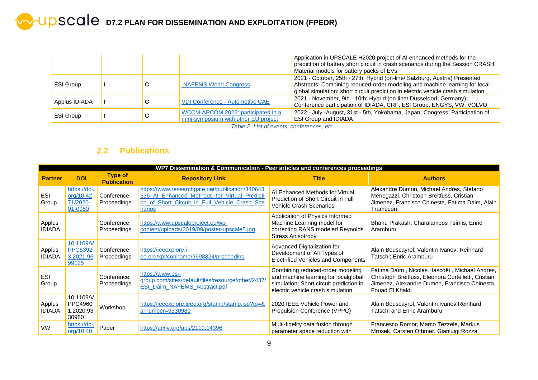# **D D D7.2 PLAN FOR DISSEMINATION AND EXPLOITATION (FPEDR)**

|                  |   |                                                                            | Application in UPSCALE H2020 project of AI enhanced methods for the<br>prediction of battery short circuit in crash scenarios during the Session CRASH:<br>Material models for battery packs of EVs                                           |
|------------------|---|----------------------------------------------------------------------------|-----------------------------------------------------------------------------------------------------------------------------------------------------------------------------------------------------------------------------------------------|
| <b>ESI Group</b> |   | <b>NAFEMS World Congress</b>                                               | 2021 - October, 25th - 27th; Hybrid (on-line/ Salzburg, Austria) Presented<br>Abstracts: Combining reduced-order modeling and machine learning for local-<br>global simulation: short circuit prediction in electric vehicle crash simulation |
| Applus IDIADA    |   | <b>VDI Conference - Automotive CAE</b>                                     | 2021 - November, 9th - 10th; Hybrid (on-line/ Dusseldorf, Germany);<br>Conference participation of IDIADA, CRF, ESI Group, ENGYS, VW, VOLVO                                                                                                   |
| <b>ESI Group</b> | u | WCCM-APCOM 2022: participated in a<br>mini-symposium with other EU project | 2022 - July -August, 31st - 5th, Yokohama, Japan; Congress; Participation of<br><b>ESI Group and IDIADA</b>                                                                                                                                   |

*Table 2. List of events, conferences, etc.*

## **2.2 Publications**

<span id="page-8-1"></span><span id="page-8-0"></span>

|                         | WP7 Dissemination & Communication - Peer articles and conferences proceedings |                                      |                                                                                                                                                            |                                                                                                                                                          |                                                                                                                                                                          |  |  |
|-------------------------|-------------------------------------------------------------------------------|--------------------------------------|------------------------------------------------------------------------------------------------------------------------------------------------------------|----------------------------------------------------------------------------------------------------------------------------------------------------------|--------------------------------------------------------------------------------------------------------------------------------------------------------------------------|--|--|
| <b>Partner</b>          | <b>DOI</b>                                                                    | <b>Type of</b><br><b>Publication</b> | <b>Repository Link</b>                                                                                                                                     | <b>Title</b>                                                                                                                                             | <b>Authors</b>                                                                                                                                                           |  |  |
| ESI<br>Group            | https://doi.<br>org/10.42<br>71/2020-<br>01-0950                              | Conference<br>Proceedings            | https://www.researchgate.net/publication/340643<br>536 Al Enhanced Methods for Virtual Predicti<br>on_of_Short_Circuit_in_Full_Vehicle_Crash_Sce<br>narios | AI Enhanced Methods for Virtual<br>Prediction of Short Circuit in Full<br>Vehicle Crash Scenarios                                                        | Alexandre Dumon, Michael Andres, Stefano<br>Menegazzi, Christoph Breitfuss, Cristian<br>Jimenez, Francisco Chinesta, Fatima Daim, Alain<br>Tramecon                      |  |  |
| Applus<br><b>IDIADA</b> |                                                                               | Conference<br>Proceedings            | https://www.upscaleproject.eu/wp-<br>content/uploads/2019/09/poster-upscale5.jpg                                                                           | Application of Physics Informed<br>Machine Learning model for<br>correcting RANS modeled Reynolds<br><b>Stress Anisotropy</b>                            | Bhanu Prakash, Charalampos Tsimis, Enric<br>Aramburu                                                                                                                     |  |  |
| Applus<br><b>IDIADA</b> | 10.1109/V<br><b>PPC5392</b><br>3.2021.96<br>99125                             | Conference<br>Proceedings            | https://ieeexplore.i<br>ee.org/xpl/conhome/9698824/proceeding                                                                                              | Advanced Digitalization for<br>Development of All Types of<br><b>Electrified Vehicles and Components</b>                                                 | Alain Bouscayrol; Valentin Ivanov; Reinhard<br>Tatschl; Enric Aramburu                                                                                                   |  |  |
| ESI<br>Group            |                                                                               | Conference<br>Proceedings            | https://www.esi-<br>group.com/sites/default/files/resource/other/2437/<br>ESI_Daim_NAFEMS_Abstract.pdf                                                     | Combining reduced-order modeling<br>and machine learning for localglobal<br>simulation: Short circuit prediction in<br>electric vehicle crash simulation | Fatima Daïm, Nicolas Hascoët, Michael Andres,<br>Christoph Breitfuss, Eleonora Cortelletti, Cristian<br>Jimenez, Alexandre Dumon, Francisco Chinesta,<br>Fouad El Khaldi |  |  |
| Applus<br><b>IDIADA</b> | 10.1109/V<br>PPC4960<br>1.2020.93<br>30980                                    | Workshop                             | https://ieeexplore.ieee.org/stamp/stamp.jsp?tp=&<br>arnumber=9330980                                                                                       | 2020 IEEE Vehicle Power and<br>Propulsion Conference (VPPC)                                                                                              | Alain Bouscayrol, Valentin Ivanov, Reinhard<br><b>Tatschl and Enric Aramburu</b>                                                                                         |  |  |
| <b>VW</b>               | https://doi.<br>org/10.48                                                     | Paper                                | https://arxiv.org/abs/2110.14396                                                                                                                           | Multi-fidelity data fusion through<br>parameter space reduction with                                                                                     | Francesco Romor, Marco Tezzele, Markus<br>Mrosek, Carsten Othmer, Gianluigi Rozza                                                                                        |  |  |